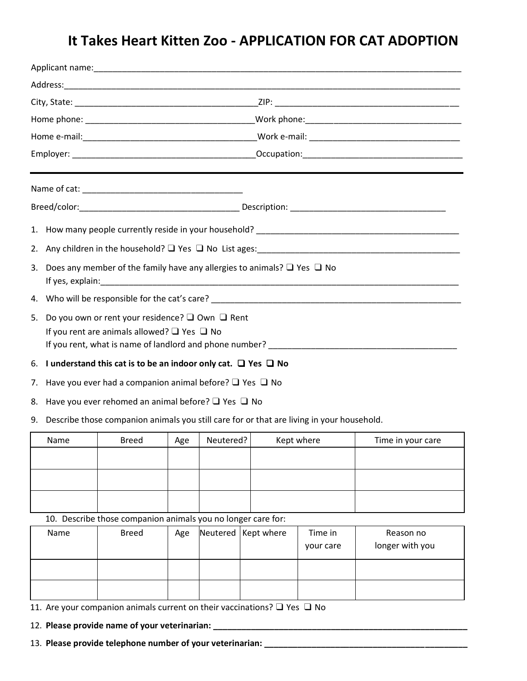## **It Takes Heart Kitten Zoo - APPLICATION FOR CAT ADOPTION**

| 2. | Any children in the household? $\Box$ Yes $\Box$ No List ages:                                                                                                                                                                                                                                                     |                                                                   |     |           |            |                   |  |  |  |  |  |  |
|----|--------------------------------------------------------------------------------------------------------------------------------------------------------------------------------------------------------------------------------------------------------------------------------------------------------------------|-------------------------------------------------------------------|-----|-----------|------------|-------------------|--|--|--|--|--|--|
| 3. | Does any member of the family have any allergies to animals? $\Box$ Yes $\Box$ No<br>If yes, explain: the contract of the contract of the contract of the contract of the contract of the contract of the contract of the contract of the contract of the contract of the contract of the contract of the contract |                                                                   |     |           |            |                   |  |  |  |  |  |  |
|    |                                                                                                                                                                                                                                                                                                                    |                                                                   |     |           |            |                   |  |  |  |  |  |  |
| 5. | Do you own or rent your residence? $\square$ Own $\square$ Rent<br>If you rent are animals allowed? $\Box$ Yes $\Box$ No                                                                                                                                                                                           |                                                                   |     |           |            |                   |  |  |  |  |  |  |
|    | 6. I understand this cat is to be an indoor only cat. $\Box$ Yes $\Box$ No                                                                                                                                                                                                                                         |                                                                   |     |           |            |                   |  |  |  |  |  |  |
| 7. |                                                                                                                                                                                                                                                                                                                    | Have you ever had a companion animal before? $\Box$ Yes $\Box$ No |     |           |            |                   |  |  |  |  |  |  |
| 8. | Have you ever rehomed an animal before? $\Box$ Yes $\Box$ No                                                                                                                                                                                                                                                       |                                                                   |     |           |            |                   |  |  |  |  |  |  |
| 9. | Describe those companion animals you still care for or that are living in your household.                                                                                                                                                                                                                          |                                                                   |     |           |            |                   |  |  |  |  |  |  |
|    | Name                                                                                                                                                                                                                                                                                                               | <b>Breed</b>                                                      | Age | Neutered? | Kept where | Time in your care |  |  |  |  |  |  |
|    |                                                                                                                                                                                                                                                                                                                    |                                                                   |     |           |            |                   |  |  |  |  |  |  |
|    |                                                                                                                                                                                                                                                                                                                    |                                                                   |     |           |            |                   |  |  |  |  |  |  |
|    |                                                                                                                                                                                                                                                                                                                    |                                                                   |     |           |            |                   |  |  |  |  |  |  |
|    | 10. Describe those companion animals you no longer care for:                                                                                                                                                                                                                                                       |                                                                   |     |           |            |                   |  |  |  |  |  |  |

| Name | <b>Breed</b> | Age | Neutered   Kept where | Time in<br>your care | Reason no<br>longer with you |
|------|--------------|-----|-----------------------|----------------------|------------------------------|
|      |              |     |                       |                      |                              |
|      |              |     |                       |                      |                              |

11. Are your companion animals current on their vaccinations? ❑ Yes ❑ No

12. **Please provide name of your veterinarian: \_\_\_\_\_\_\_\_\_\_\_\_\_\_\_\_\_\_\_\_\_\_\_\_\_\_\_\_\_\_\_\_\_\_\_\_\_\_\_\_\_\_\_\_\_\_\_\_\_\_\_\_\_\_**

13. **Please provide telephone number of your veterinarian: \_\_\_\_\_\_\_\_\_\_\_\_\_\_\_\_\_\_\_\_\_\_\_\_\_\_\_\_\_\_\_\_\_\_\_\_\_\_\_\_\_\_\_**